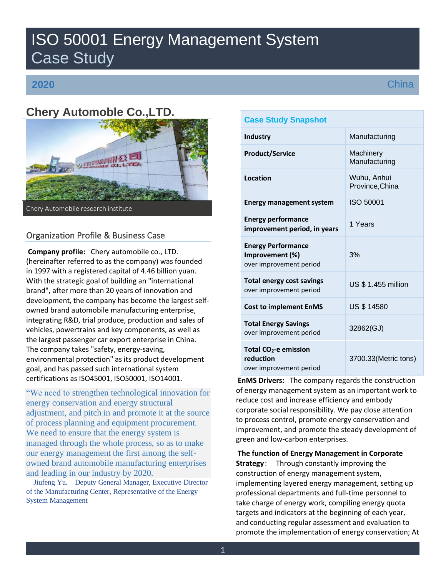# ISO 50001 Energy Management System Case Study

# **2020**

**China** 

# **Chery Automoble Co.,LTD.**



# Organization Profile & Business Case

**Company profile:** Chery automobile co., LTD. (hereinafter referred to as the company) was founded in 1997 with a registered capital of 4.46 billion yuan. With the strategic goal of building an "international brand", after more than 20 years of innovation and development, the company has become the largest selfowned brand automobile manufacturing enterprise, integrating R&D, trial produce, production and sales of vehicles, powertrains and key components, as well as the largest passenger car export enterprise in China. The company takes "safety, energy-saving, environmental protection" as its product development goal, and has passed such international system certifications as ISO45001, ISO50001, ISO14001.

"We need to strengthen technological innovation for energy conservation and energy structural adjustment, and pitch in and promote it at the source of process planning and equipment procurement. We need to ensure that the energy system is managed through the whole process, so as to make our energy management the first among the selfowned brand automobile manufacturing enterprises and leading in our industry by 2020. —Jiufeng Yu. Deputy General Manager, Executive Director

of the Manufacturing Center, Representative of the Energy System Management

| <b>Case Study Snapshot</b>                                                |                                |
|---------------------------------------------------------------------------|--------------------------------|
| <b>Industry</b>                                                           | Manufacturing                  |
| <b>Product/Service</b>                                                    | Machinery<br>Manufacturing     |
| Location                                                                  | Wuhu, Anhui<br>Province, China |
| <b>Energy management system</b>                                           | <b>ISO 50001</b>               |
| <b>Energy performance</b><br>improvement period, in years                 | 1 Years                        |
| <b>Energy Performance</b><br>Improvement (%)<br>over improvement period   | 3%                             |
| <b>Total energy cost savings</b><br>over improvement period               | US \$ 1.455 million            |
| <b>Cost to implement EnMS</b>                                             | <b>US \$ 14580</b>             |
| <b>Total Energy Savings</b><br>over improvement period                    | 32862(GJ)                      |
| Total CO <sub>2</sub> -e emission<br>reduction<br>over improvement period | 3700.33(Metric tons)           |

**EnMS Drivers:** The company regards the construction of energy management system as an important work to reduce cost and increase efficiency and embody corporate social responsibility. We pay close attention to process control, promote energy conservation and improvement, and promote the steady development of green and low-carbon enterprises.

**The function of Energy Management in Corporate Strategy**: Through constantly improving the construction of energy management system, implementing layered energy management, setting up professional departments and full-time personnel to take charge of energy work, compiling energy quota targets and indicators at the beginning of each year, and conducting regular assessment and evaluation to promote the implementation of energy conservation; At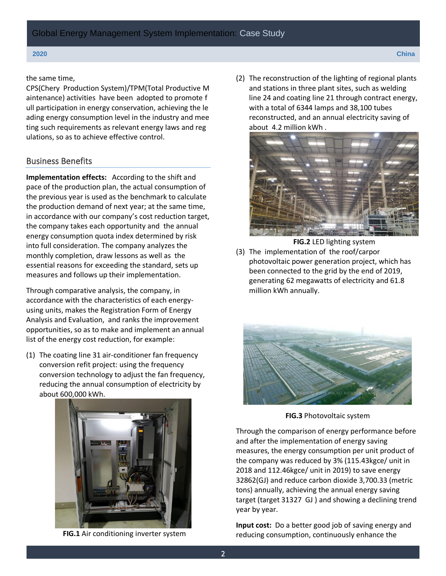the same time,

CPS(Chery Production System)/TPM(Total Productive M aintenance) activities have been adopted to promote f ull participation in energy conservation, achieving the le ading energy consumption level in the industry and mee ting such requirements as relevant energy laws and reg ulations, so as to achieve effective control.

# Business Benefits

**Implementation effects:** According to the shift and pace of the production plan, the actual consumption of the previous year is used as the benchmark to calculate the production demand of next year; at the same time, in accordance with our company's cost reduction target, the company takes each opportunity and the annual energy consumption quota index determined by risk into full consideration. The company analyzes the monthly completion, draw lessons as well as the essential reasons for exceeding the standard, sets up measures and follows up their implementation.

Through comparative analysis, the company, in accordance with the characteristics of each energyusing units, makes the Registration Form of Energy Analysis and Evaluation, and ranks the improvement opportunities, so as to make and implement an annual list of the energy cost reduction, for example:

(1) The coating line 31 air-conditioner fan frequency conversion refit project: using the frequency conversion technology to adjust the fan frequency, reducing the annual consumption of electricity by about 600,000 kWh.



**FIG.1** Air conditioning inverter system

(2) The reconstruction of the lighting of regional plants and stations in three plant sites, such as welding line 24 and coating line 21 through contract energy, with a total of 6344 lamps and 38,100 tubes reconstructed, and an annual electricity saving of about 4.2 million kWh .



**FIG.2** LED lighting system

(3) The implementation of the roof/carpor photovoltaic power generation project, which has been connected to the grid by the end of 2019, generating 62 megawatts of electricity and 61.8 million kWh annually.



**FIG.3** Photovoltaic system

Through the comparison of energy performance before and after the implementation of energy saving measures, the energy consumption per unit product of the company was reduced by 3% (115.43kgce/ unit in 2018 and 112.46kgce/ unit in 2019) to save energy 32862(GJ) and reduce carbon dioxide 3,700.33 (metric tons) annually, achieving the annual energy saving target (target 31327 GJ ) and showing a declining trend year by year.

**Input cost:** Do a better good job of saving energy and reducing consumption, continuously enhance the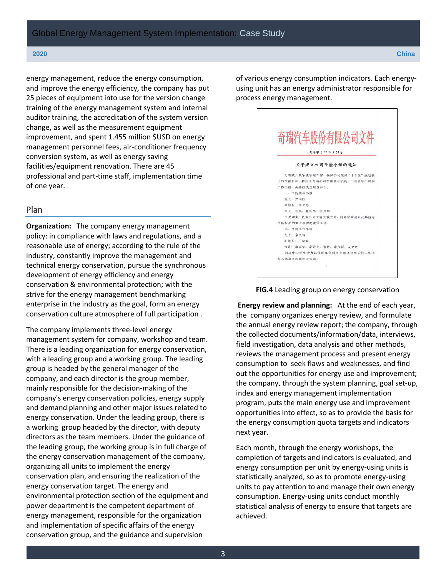energy management, reduce the energy consumption, and improve the energy efficiency, the company has put 25 pieces of equipment into use for the version change training of the energy management system and internal auditor training, the accreditation of the system version change, as well as the measurement equipment improvement, and spent 1.455 million \$USD on energy management personnel fees, air-conditioner frequency conversion system, as well as energy saving facilities/equipment renovation. There are 45 professional and part-time staff, implementation time of one year.

### Plan

**Organization:** The company energy management policy: in compliance with laws and regulations, and a reasonable use of energy; according to the rule of the industry, constantly improve the management and technical energy conservation, pursue the synchronous development of energy efficiency and energy conservation & environmental protection; with the strive for the energy management benchmarking enterprise in the industry as the goal, form an energy conservation culture atmosphere of full participation .

The company implements three-level energy management system for company, workshop and team. There is a leading organization for energy conservation, with a leading group and a working group. The leading group is headed by the general manager of the company, and each director is the group member, mainly responsible for the decision-making of the company's energy conservation policies, energy supply and demand planning and other major issues related to energy conservation. Under the leading group, there is a working group headed by the director, with deputy directors as the team members. Under the guidance of the leading group, the working group is in full charge of the energy conservation management of the company, organizing all units to implement the energy conservation plan, and ensuring the realization of the energy conservation target. The energy and environmental protection section of the equipment and power department is the competent department of energy management, responsible for the organization and implementation of specific affairs of the energy conservation group, and the guidance and supervision

of various energy consumption indicators. Each energyusing unit has an energy administrator responsible for process energy management.

|                  | 奇瑞汽车股份有限公司文件                 |
|------------------|------------------------------|
|                  |                              |
| 奇瑞字 ( 2019 ) 55号 |                              |
|                  | 关于成立公司节能小组的通知                |
|                  | 为有效开展节能管理工作,确保公司完成"十三五"规划提   |
|                  | 出的节能目标,特成立奇瑞公司节能领导机构,下设领导小组和 |
|                  | 工作小组,具体组成及职责如下:              |
|                  | 一、节能领导小组                     |
|                  | 组长: 尹同跃                      |
|                  | 副组长:李立忠                      |
|                  | 组员: 刘杨、张国忠、余久锋               |
|                  | 主要职责: 负责公司节能大政方针、能源供需规划及其他与  |
|                  | 节能相关的重大事项的决策工作。              |
|                  | 二、节能工作小组                     |
|                  | 组长:余久锋                       |
|                  | 副组长: 王清武                     |
|                  | 组员:郑国荣、桑芾生、袁毅、李加祥、吴常胜        |
|                  | 制造中心设备动力部能源环保科负责落实公司节能工作小    |
|                  | 组具体事务的组织与实施。                 |

**FIG.4** Leading group on energy conservation

**Energy review and planning:** At the end of each year, the company organizes energy review, and formulate the annual energy review report; the company, through the collected documents/information/data, interviews, field investigation, data analysis and other methods, reviews the management process and present energy consumption to seek flaws and weaknesses, and find out the opportunities for energy use and improvement; the company, through the system planning, goal set-up, index and energy management implementation program, puts the main energy use and improvement opportunities into effect, so as to provide the basis for the energy consumption quota targets and indicators next year.

Each month, through the energy workshops, the completion of targets and indicators is evaluated, and energy consumption per unit by energy-using units is statistically analyzed, so as to promote energy-using units to pay attention to and manage their own energy consumption. Energy-using units conduct monthly statistical analysis of energy to ensure that targets are achieved.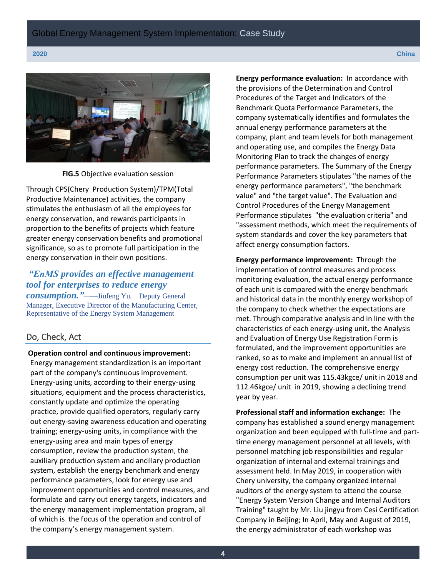

**FIG.5** Objective evaluation session

Through CPS(Chery Production System)/TPM(Total Productive Maintenance) activities, the company stimulates the enthusiasm of all the employees for energy conservation, and rewards participants in proportion to the benefits of projects which feature greater energy conservation benefits and promotional significance, so as to promote full participation in the energy conservation in their own positions.

# *"EnMS provides an effective management tool for enterprises to reduce energy*

*consumption."*——Jiufeng Yu. Deputy General Manager, Executive Director of the Manufacturing Center, Representative of the Energy System Management

### Do, Check, Act

### **Operation control and continuous improvement:**

Energy management standardization is an important part of the company's continuous improvement. Energy-using units, according to their energy-using situations, equipment and the process characteristics, constantly update and optimize the operating practice, provide qualified operators, regularly carry out energy-saving awareness education and operating training; energy-using units, in compliance with the energy-using area and main types of energy consumption, review the production system, the auxiliary production system and ancillary production system, establish the energy benchmark and energy performance parameters, look for energy use and improvement opportunities and control measures, and formulate and carry out energy targets, indicators and the energy management implementation program, all of which is the focus of the operation and control of the company's energy management system.

**Energy performance evaluation:** In accordance with the provisions of the Determination and Control Procedures of the Target and Indicators of the Benchmark Quota Performance Parameters, the company systematically identifies and formulates the annual energy performance parameters at the company, plant and team levels for both management and operating use, and compiles the Energy Data Monitoring Plan to track the changes of energy performance parameters. The Summary of the Energy Performance Parameters stipulates "the names of the energy performance parameters", "the benchmark value" and "the target value". The Evaluation and Control Procedures of the Energy Management Performance stipulates "the evaluation criteria" and "assessment methods, which meet the requirements of system standards and cover the key parameters that affect energy consumption factors.

**Energy performance improvement:** Through the implementation of control measures and process monitoring evaluation, the actual energy performance of each unit is compared with the energy benchmark and historical data in the monthly energy workshop of the company to check whether the expectations are met. Through comparative analysis and in line with the characteristics of each energy-using unit, the Analysis and Evaluation of Energy Use Registration Form is formulated, and the improvement opportunities are ranked, so as to make and implement an annual list of energy cost reduction. The comprehensive energy consumption per unit was 115.43kgce/ unit in 2018 and 112.46kgce/ unit in 2019, showing a declining trend year by year.

**Professional staff and information exchange:** The company has established a sound energy management organization and been equipped with full-time and parttime energy management personnel at all levels, with personnel matching job responsibilities and regular organization of internal and external trainings and assessment held. In May 2019, in cooperation with Chery university, the company organized internal auditors of the energy system to attend the course "Energy System Version Change and Internal Auditors Training" taught by Mr. Liu jingyu from Cesi Certification Company in Beijing; In April, May and August of 2019, the energy administrator of each workshop was

4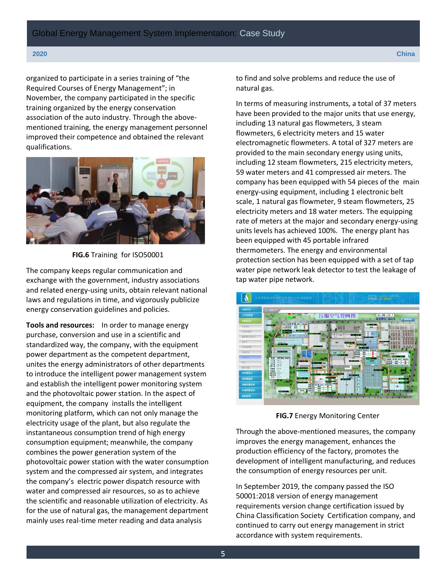organized to participate in a series training of "the Required Courses of Energy Management"; in November, the company participated in the specific training organized by the energy conservation association of the auto industry. Through the abovementioned training, the energy management personnel improved their competence and obtained the relevant qualifications.



**FIG.6** Training for ISO50001

The company keeps regular communication and exchange with the government, industry associations and related energy-using units, obtain relevant national laws and regulations in time, and vigorously publicize energy conservation guidelines and policies.

**Tools and resources:** In order to manage energy purchase, conversion and use in a scientific and standardized way, the company, with the equipment power department as the competent department, unites the energy administrators of other departments to introduce the intelligent power management system and establish the intelligent power monitoring system and the photovoltaic power station. In the aspect of equipment, the company installs the intelligent monitoring platform, which can not only manage the electricity usage of the plant, but also regulate the instantaneous consumption trend of high energy consumption equipment; meanwhile, the company combines the power generation system of the photovoltaic power station with the water consumption system and the compressed air system, and integrates the company's electric power dispatch resource with water and compressed air resources, so as to achieve the scientific and reasonable utilization of electricity. As for the use of natural gas, the management department mainly uses real-time meter reading and data analysis

to find and solve problems and reduce the use of natural gas.

In terms of measuring instruments, a total of 37 meters have been provided to the major units that use energy, including 13 natural gas flowmeters, 3 steam flowmeters, 6 electricity meters and 15 water electromagnetic flowmeters. A total of 327 meters are provided to the main secondary energy using units, including 12 steam flowmeters, 215 electricity meters, 59 water meters and 41 compressed air meters. The company has been equipped with 54 pieces of the main energy-using equipment, including 1 electronic belt scale, 1 natural gas flowmeter, 9 steam flowmeters, 25 electricity meters and 18 water meters. The equipping rate of meters at the major and secondary energy-using units levels has achieved 100%. The energy plant has been equipped with 45 portable infrared thermometers. The energy and environmental protection section has been equipped with a set of tap water pipe network leak detector to test the leakage of tap water pipe network.



**FIG.7** Energy Monitoring Center

Through the above-mentioned measures, the company improves the energy management, enhances the production efficiency of the factory, promotes the development of intelligent manufacturing, and reduces the consumption of energy resources per unit.

In September 2019, the company passed the ISO 50001:2018 version of energy management requirements version change certification issued by China Classification Society Certification company, and continued to carry out energy management in strict accordance with system requirements.